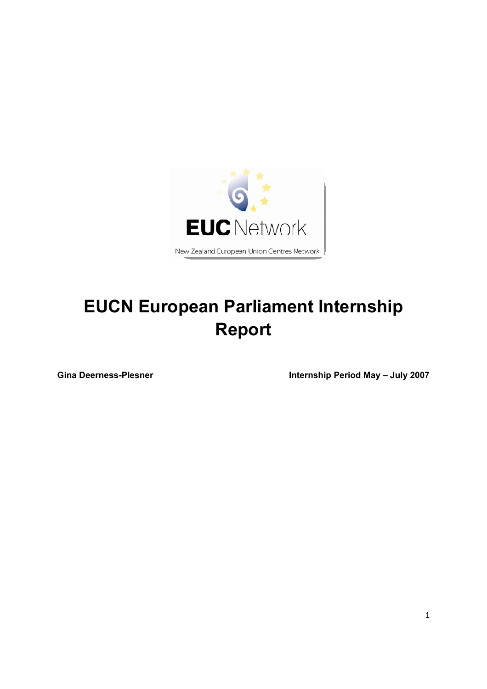

# **EUCN European Parliament Internship Report**

Gina Deerness-Plesner **Internship Period May – July 2007**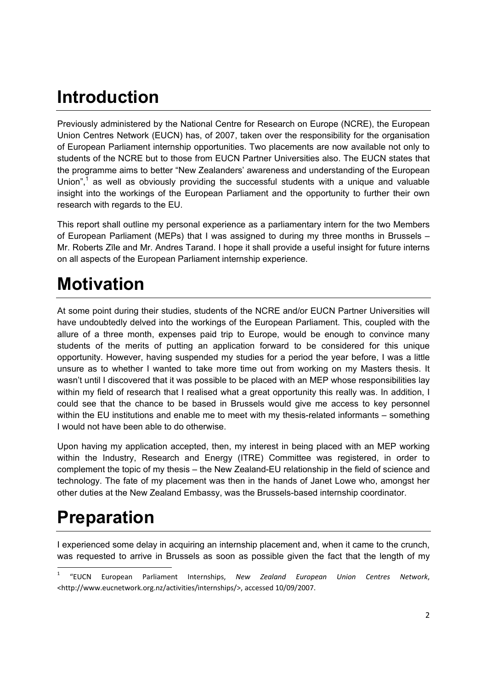## **Introduction**

Previously administered by the National Centre for Research on Europe (NCRE), the European Union Centres Network (EUCN) has, of 2007, taken over the responsibility for the organisation of European Parliament internship opportunities. Two placements are now available not only to students of the NCRE but to those from EUCN Partner Universities also. The EUCN states that the programme aims to better "New Zealanders' awareness and understanding of the European Union", $1$  as well as obviously providing the successful students with a unique and valuable insight into the workings of the European Parliament and the opportunity to further their own research with regards to the EU.

This report shall outline my personal experience as a parliamentary intern for the two Members of European Parliament (MEPs) that I was assigned to during my three months in Brussels – Mr. Roberts Zīle and Mr. Andres Tarand. I hope it shall provide a useful insight for future interns on all aspects of the European Parliament internship experience.

# **Motivation**

At some point during their studies, students of the NCRE and/or EUCN Partner Universities will have undoubtedly delved into the workings of the European Parliament. This, coupled with the allure of a three month, expenses paid trip to Europe, would be enough to convince many students of the merits of putting an application forward to be considered for this unique opportunity. However, having suspended my studies for a period the year before, I was a little unsure as to whether I wanted to take more time out from working on my Masters thesis. It wasn't until I discovered that it was possible to be placed with an MEP whose responsibilities lay within my field of research that I realised what a great opportunity this really was. In addition, I could see that the chance to be based in Brussels would give me access to key personnel within the EU institutions and enable me to meet with my thesis-related informants – something I would not have been able to do otherwise.

Upon having my application accepted, then, my interest in being placed with an MEP working within the Industry, Research and Energy (ITRE) Committee was registered, in order to complement the topic of my thesis – the New Zealand-EU relationship in the field of science and technology. The fate of my placement was then in the hands of Janet Lowe who, amongst her other duties at the New Zealand Embassy, was the Brussels-based internship coordinator.

# **Preparation**

-

I experienced some delay in acquiring an internship placement and, when it came to the crunch, was requested to arrive in Brussels as soon as possible given the fact that the length of my

<sup>1</sup> "EUCN European Parliament Internships, *New Zealand European Union Centres Network*, <http://www.eucnetwork.org.nz/activities/internships/>, accessed 10/09/2007.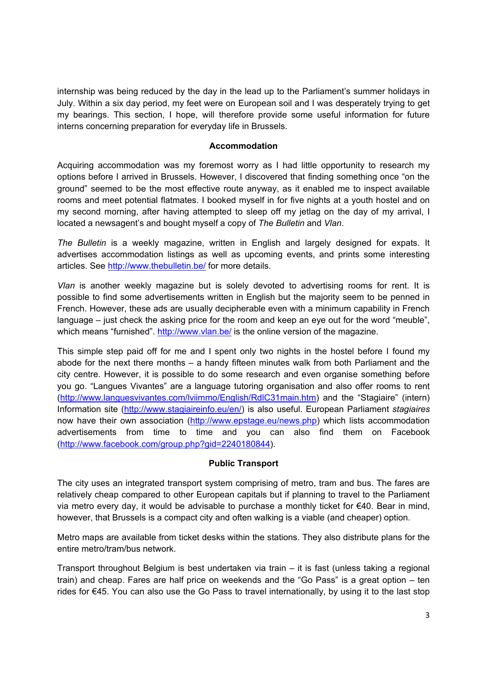internship was being reduced by the day in the lead up to the Parliament's summer holidays in July. Within a six day period, my feet were on European soil and I was desperately trying to get my bearings. This section, I hope, will therefore provide some useful information for future interns concerning preparation for everyday life in Brussels.

#### **Accommodation**

Acquiring accommodation was my foremost worry as I had little opportunity to research my options before I arrived in Brussels. However, I discovered that finding something once "on the ground" seemed to be the most effective route anyway, as it enabled me to inspect available rooms and meet potential flatmates. I booked myself in for five nights at a youth hostel and on my second morning, after having attempted to sleep off my jetlag on the day of my arrival, I located a newsagent's and bought myself a copy of *The Bulletin* and *Vlan*.

*The Bulletin* is a weekly magazine, written in English and largely designed for expats. It advertises accommodation listings as well as upcoming events, and prints some interesting articles. See http://www.thebulletin.be/ for more details.

*Vlan* is another weekly magazine but is solely devoted to advertising rooms for rent. It is possible to find some advertisements written in English but the majority seem to be penned in French. However, these ads are usually decipherable even with a minimum capability in French language – just check the asking price for the room and keep an eye out for the word "meuble", which means "furnished". http://www.vlan.be/ is the online version of the magazine.

This simple step paid off for me and I spent only two nights in the hostel before I found my abode for the next there months – a handy fifteen minutes walk from both Parliament and the city centre. However, it is possible to do some research and even organise something before you go. "Langues Vivantes" are a language tutoring organisation and also offer rooms to rent (http://www.languesvivantes.com/lviimmo/English/RdlC31main.htm) and the "Stagiaire" (intern) Information site (http://www.stagiaireinfo.eu/en/) is also useful. European Parliament *stagiaires* now have their own association (http://www.epstage.eu/news.php) which lists accommodation advertisements from time to time and you can also find them on Facebook (http://www.facebook.com/group.php?gid=2240180844).

#### **Public Transport**

The city uses an integrated transport system comprising of metro, tram and bus. The fares are relatively cheap compared to other European capitals but if planning to travel to the Parliament via metro every day, it would be advisable to purchase a monthly ticket for €40. Bear in mind, however, that Brussels is a compact city and often walking is a viable (and cheaper) option.

Metro maps are available from ticket desks within the stations. They also distribute plans for the entire metro/tram/bus network.

Transport throughout Belgium is best undertaken via train – it is fast (unless taking a regional train) and cheap. Fares are half price on weekends and the "Go Pass" is a great option – ten rides for €45. You can also use the Go Pass to travel internationally, by using it to the last stop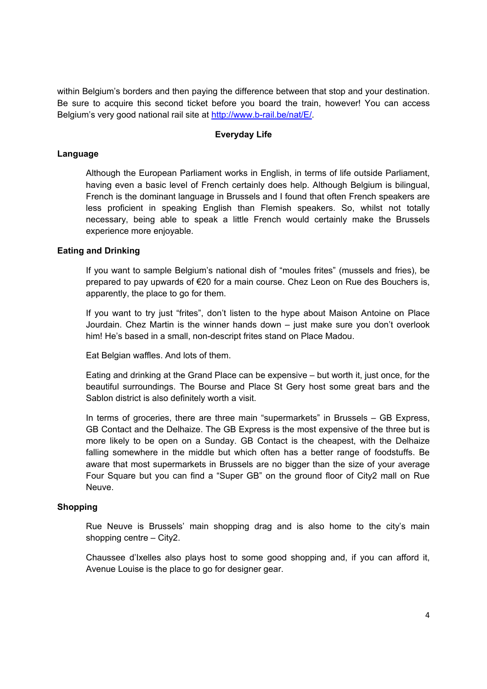within Belgium's borders and then paying the difference between that stop and your destination. Be sure to acquire this second ticket before you board the train, however! You can access Belgium's very good national rail site at http://www.b-rail.be/nat/E/.

#### **Everyday Life**

#### **Language**

Although the European Parliament works in English, in terms of life outside Parliament, having even a basic level of French certainly does help. Although Belgium is bilingual, French is the dominant language in Brussels and I found that often French speakers are less proficient in speaking English than Flemish speakers. So, whilst not totally necessary, being able to speak a little French would certainly make the Brussels experience more enjoyable.

#### **Eating and Drinking**

If you want to sample Belgium's national dish of "moules frites" (mussels and fries), be prepared to pay upwards of €20 for a main course. Chez Leon on Rue des Bouchers is, apparently, the place to go for them.

If you want to try just "frites", don't listen to the hype about Maison Antoine on Place Jourdain. Chez Martin is the winner hands down – just make sure you don't overlook him! He's based in a small, non-descript frites stand on Place Madou.

Eat Belgian waffles. And lots of them.

 Eating and drinking at the Grand Place can be expensive – but worth it, just once, for the beautiful surroundings. The Bourse and Place St Gery host some great bars and the Sablon district is also definitely worth a visit.

In terms of groceries, there are three main "supermarkets" in Brussels – GB Express, GB Contact and the Delhaize. The GB Express is the most expensive of the three but is more likely to be open on a Sunday. GB Contact is the cheapest, with the Delhaize falling somewhere in the middle but which often has a better range of foodstuffs. Be aware that most supermarkets in Brussels are no bigger than the size of your average Four Square but you can find a "Super GB" on the ground floor of City2 mall on Rue Neuve.

#### **Shopping**

Rue Neuve is Brussels' main shopping drag and is also home to the city's main shopping centre – City2.

 Chaussee d'Ixelles also plays host to some good shopping and, if you can afford it, Avenue Louise is the place to go for designer gear.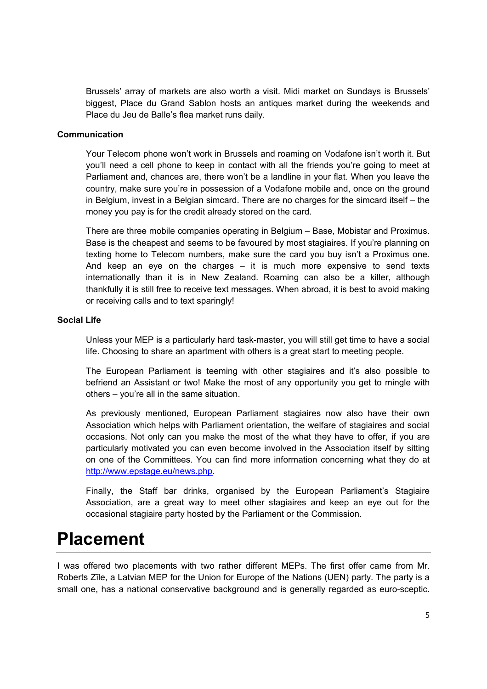Brussels' array of markets are also worth a visit. Midi market on Sundays is Brussels' biggest, Place du Grand Sablon hosts an antiques market during the weekends and Place du Jeu de Balle's flea market runs daily.

#### **Communication**

 Your Telecom phone won't work in Brussels and roaming on Vodafone isn't worth it. But you'll need a cell phone to keep in contact with all the friends you're going to meet at Parliament and, chances are, there won't be a landline in your flat. When you leave the country, make sure you're in possession of a Vodafone mobile and, once on the ground in Belgium, invest in a Belgian simcard. There are no charges for the simcard itself – the money you pay is for the credit already stored on the card.

 There are three mobile companies operating in Belgium – Base, Mobistar and Proximus. Base is the cheapest and seems to be favoured by most stagiaires. If you're planning on texting home to Telecom numbers, make sure the card you buy isn't a Proximus one. And keep an eye on the charges – it is much more expensive to send texts internationally than it is in New Zealand. Roaming can also be a killer, although thankfully it is still free to receive text messages. When abroad, it is best to avoid making or receiving calls and to text sparingly!

#### **Social Life**

 Unless your MEP is a particularly hard task-master, you will still get time to have a social life. Choosing to share an apartment with others is a great start to meeting people.

 The European Parliament is teeming with other stagiaires and it's also possible to befriend an Assistant or two! Make the most of any opportunity you get to mingle with others – you're all in the same situation.

As previously mentioned, European Parliament stagiaires now also have their own Association which helps with Parliament orientation, the welfare of stagiaires and social occasions. Not only can you make the most of the what they have to offer, if you are particularly motivated you can even become involved in the Association itself by sitting on one of the Committees. You can find more information concerning what they do at http://www.epstage.eu/news.php.

Finally, the Staff bar drinks, organised by the European Parliament's Stagiaire Association, are a great way to meet other stagiaires and keep an eye out for the occasional stagiaire party hosted by the Parliament or the Commission.

### **Placement**

I was offered two placements with two rather different MEPs. The first offer came from Mr. Roberts Zīle, a Latvian MEP for the Union for Europe of the Nations (UEN) party. The party is a small one, has a national conservative background and is generally regarded as euro-sceptic.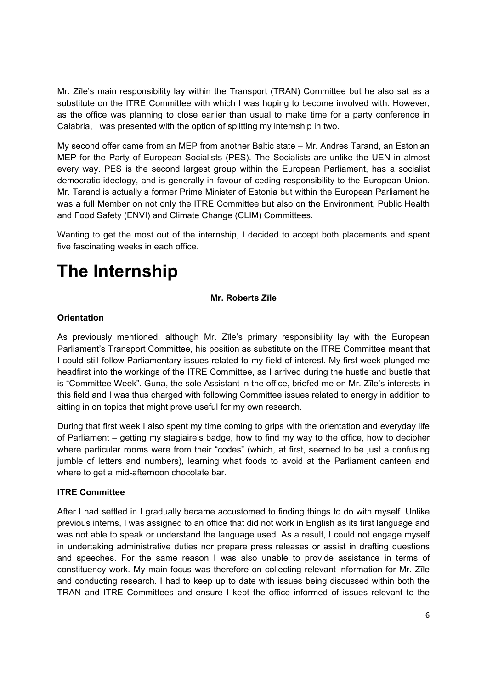Mr. Zīle's main responsibility lay within the Transport (TRAN) Committee but he also sat as a substitute on the ITRE Committee with which I was hoping to become involved with. However, as the office was planning to close earlier than usual to make time for a party conference in Calabria, I was presented with the option of splitting my internship in two.

My second offer came from an MEP from another Baltic state – Mr. Andres Tarand, an Estonian MEP for the Party of European Socialists (PES). The Socialists are unlike the UEN in almost every way. PES is the second largest group within the European Parliament, has a socialist democratic ideology, and is generally in favour of ceding responsibility to the European Union. Mr. Tarand is actually a former Prime Minister of Estonia but within the European Parliament he was a full Member on not only the ITRE Committee but also on the Environment, Public Health and Food Safety (ENVI) and Climate Change (CLIM) Committees.

Wanting to get the most out of the internship, I decided to accept both placements and spent five fascinating weeks in each office.

### **The Internship**

#### **Mr. Roberts Zīle**

#### **Orientation**

As previously mentioned, although Mr. Zīle's primary responsibility lay with the European Parliament's Transport Committee, his position as substitute on the ITRE Committee meant that I could still follow Parliamentary issues related to my field of interest. My first week plunged me headfirst into the workings of the ITRE Committee, as I arrived during the hustle and bustle that is "Committee Week". Guna, the sole Assistant in the office, briefed me on Mr. Zīle's interests in this field and I was thus charged with following Committee issues related to energy in addition to sitting in on topics that might prove useful for my own research.

During that first week I also spent my time coming to grips with the orientation and everyday life of Parliament – getting my stagiaire's badge, how to find my way to the office, how to decipher where particular rooms were from their "codes" (which, at first, seemed to be just a confusing jumble of letters and numbers), learning what foods to avoid at the Parliament canteen and where to get a mid-afternoon chocolate bar.

#### **ITRE Committee**

After I had settled in I gradually became accustomed to finding things to do with myself. Unlike previous interns, I was assigned to an office that did not work in English as its first language and was not able to speak or understand the language used. As a result, I could not engage myself in undertaking administrative duties nor prepare press releases or assist in drafting questions and speeches. For the same reason I was also unable to provide assistance in terms of constituency work. My main focus was therefore on collecting relevant information for Mr. Zīle and conducting research. I had to keep up to date with issues being discussed within both the TRAN and ITRE Committees and ensure I kept the office informed of issues relevant to the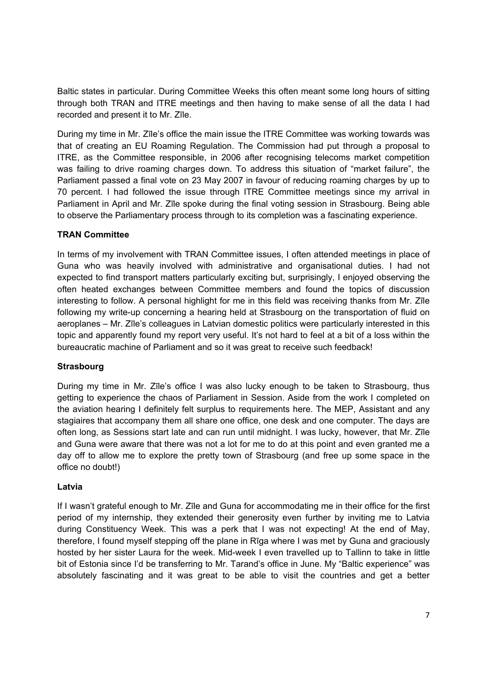Baltic states in particular. During Committee Weeks this often meant some long hours of sitting through both TRAN and ITRE meetings and then having to make sense of all the data I had recorded and present it to Mr. Zīle.

During my time in Mr. Zīle's office the main issue the ITRE Committee was working towards was that of creating an EU Roaming Regulation. The Commission had put through a proposal to ITRE, as the Committee responsible, in 2006 after recognising telecoms market competition was failing to drive roaming charges down. To address this situation of "market failure", the Parliament passed a final vote on 23 May 2007 in favour of reducing roaming charges by up to 70 percent. I had followed the issue through ITRE Committee meetings since my arrival in Parliament in April and Mr. Zīle spoke during the final voting session in Strasbourg. Being able to observe the Parliamentary process through to its completion was a fascinating experience.

#### **TRAN Committee**

In terms of my involvement with TRAN Committee issues, I often attended meetings in place of Guna who was heavily involved with administrative and organisational duties. I had not expected to find transport matters particularly exciting but, surprisingly, I enjoyed observing the often heated exchanges between Committee members and found the topics of discussion interesting to follow. A personal highlight for me in this field was receiving thanks from Mr. Zīle following my write-up concerning a hearing held at Strasbourg on the transportation of fluid on aeroplanes – Mr. Zīle's colleagues in Latvian domestic politics were particularly interested in this topic and apparently found my report very useful. It's not hard to feel at a bit of a loss within the bureaucratic machine of Parliament and so it was great to receive such feedback!

#### **Strasbourg**

During my time in Mr. Zīle's office I was also lucky enough to be taken to Strasbourg, thus getting to experience the chaos of Parliament in Session. Aside from the work I completed on the aviation hearing I definitely felt surplus to requirements here. The MEP, Assistant and any stagiaires that accompany them all share one office, one desk and one computer. The days are often long, as Sessions start late and can run until midnight. I was lucky, however, that Mr. Zīle and Guna were aware that there was not a lot for me to do at this point and even granted me a day off to allow me to explore the pretty town of Strasbourg (and free up some space in the office no doubt!)

#### **Latvia**

If I wasn't grateful enough to Mr. Zīle and Guna for accommodating me in their office for the first period of my internship, they extended their generosity even further by inviting me to Latvia during Constituency Week. This was a perk that I was not expecting! At the end of May, therefore, I found myself stepping off the plane in Rīga where I was met by Guna and graciously hosted by her sister Laura for the week. Mid-week I even travelled up to Tallinn to take in little bit of Estonia since I'd be transferring to Mr. Tarand's office in June. My "Baltic experience" was absolutely fascinating and it was great to be able to visit the countries and get a better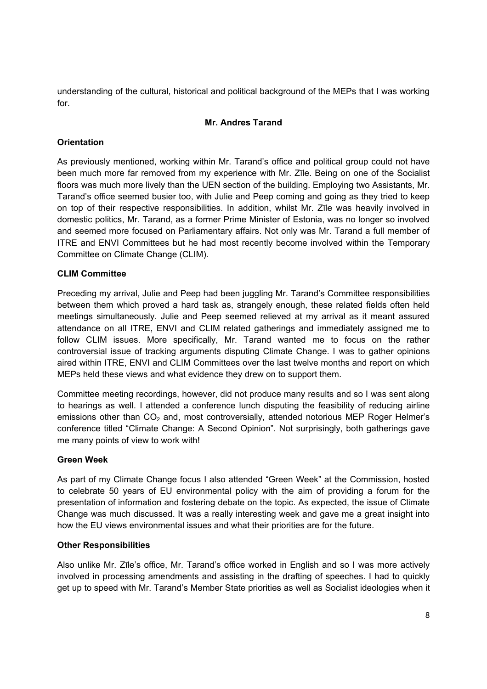understanding of the cultural, historical and political background of the MEPs that I was working for.

#### **Mr. Andres Tarand**

#### **Orientation**

As previously mentioned, working within Mr. Tarand's office and political group could not have been much more far removed from my experience with Mr. Zīle. Being on one of the Socialist floors was much more lively than the UEN section of the building. Employing two Assistants, Mr. Tarand's office seemed busier too, with Julie and Peep coming and going as they tried to keep on top of their respective responsibilities. In addition, whilst Mr. Zīle was heavily involved in domestic politics, Mr. Tarand, as a former Prime Minister of Estonia, was no longer so involved and seemed more focused on Parliamentary affairs. Not only was Mr. Tarand a full member of ITRE and ENVI Committees but he had most recently become involved within the Temporary Committee on Climate Change (CLIM).

#### **CLIM Committee**

Preceding my arrival, Julie and Peep had been juggling Mr. Tarand's Committee responsibilities between them which proved a hard task as, strangely enough, these related fields often held meetings simultaneously. Julie and Peep seemed relieved at my arrival as it meant assured attendance on all ITRE, ENVI and CLIM related gatherings and immediately assigned me to follow CLIM issues. More specifically, Mr. Tarand wanted me to focus on the rather controversial issue of tracking arguments disputing Climate Change. I was to gather opinions aired within ITRE, ENVI and CLIM Committees over the last twelve months and report on which MEPs held these views and what evidence they drew on to support them.

Committee meeting recordings, however, did not produce many results and so I was sent along to hearings as well. I attended a conference lunch disputing the feasibility of reducing airline emissions other than  $CO<sub>2</sub>$  and, most controversially, attended notorious MEP Roger Helmer's conference titled "Climate Change: A Second Opinion". Not surprisingly, both gatherings gave me many points of view to work with!

#### **Green Week**

As part of my Climate Change focus I also attended "Green Week" at the Commission, hosted to celebrate 50 years of EU environmental policy with the aim of providing a forum for the presentation of information and fostering debate on the topic. As expected, the issue of Climate Change was much discussed. It was a really interesting week and gave me a great insight into how the EU views environmental issues and what their priorities are for the future.

#### **Other Responsibilities**

Also unlike Mr. Zīle's office, Mr. Tarand's office worked in English and so I was more actively involved in processing amendments and assisting in the drafting of speeches. I had to quickly get up to speed with Mr. Tarand's Member State priorities as well as Socialist ideologies when it